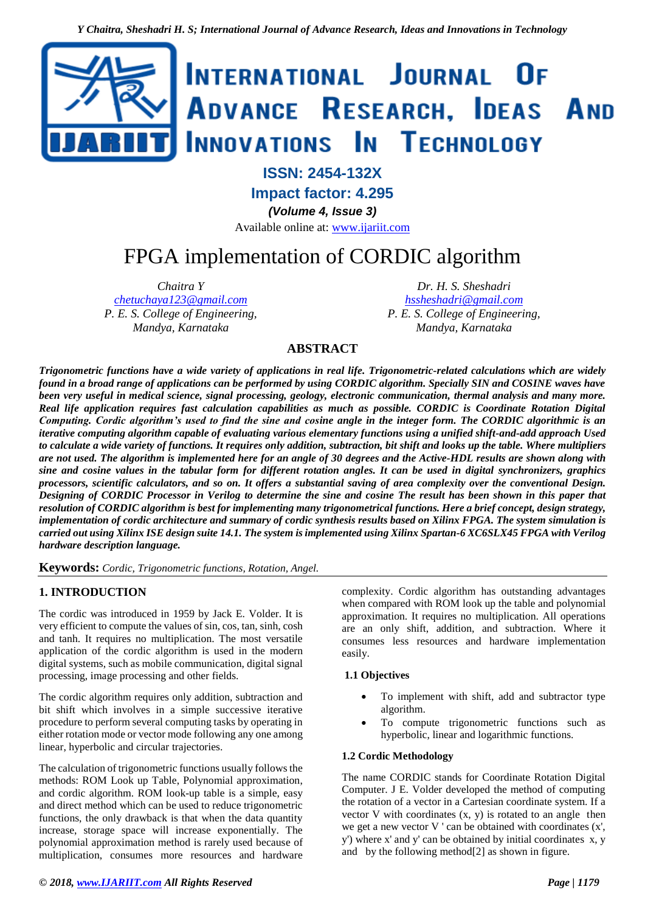

## **ISSN: 2454-132X**

**Impact factor: 4.295**

*(Volume 4, Issue 3)*

Available online at: [www.ijariit.com](https://www.ijariit.com/?utm_source=pdf&utm_medium=edition&utm_campaign=OmAkSols&utm_term=V4I3-1579)

# FPGA implementation of CORDIC algorithm

*Chaitra Y [chetuchaya123@gmail.com](mailto:chetuchaya123@gmail.com) P. E. S. College of Engineering, Mandya, Karnataka*

*Dr. H. S. Sheshadri [hssheshadri@gmail.com](mailto:hssheshadri@gmail.com) P. E. S. College of Engineering, Mandya, Karnataka*

### **ABSTRACT**

*Trigonometric functions have a wide variety of applications in real life. Trigonometric-related calculations which are widely found in a broad range of applications can be performed by using CORDIC algorithm. Specially SIN and COSINE waves have been very useful in medical science, signal processing, geology, electronic communication, thermal analysis and many more. Real life application requires fast calculation capabilities as much as possible. CORDIC is Coordinate Rotation Digital Computing. Cordic algorithm's used to find the sine and cosine angle in the integer form. The CORDIC algorithmic is an iterative computing algorithm capable of evaluating various elementary functions using a unified shift-and-add approach Used to calculate a wide variety of functions. It requires only addition, subtraction, bit shift and looks up the table. Where multipliers are not used. The algorithm is implemented here for an angle of 30 degrees and the Active-HDL results are shown along with sine and cosine values in the tabular form for different rotation angles. It can be used in digital synchronizers, graphics processors, scientific calculators, and so on. It offers a substantial saving of area complexity over the conventional Design. Designing of CORDIC Processor in Verilog to determine the sine and cosine The result has been shown in this paper that resolution of CORDIC algorithm is best for implementing many trigonometrical functions. Here a brief concept, design strategy, implementation of cordic architecture and summary of cordic synthesis results based on Xilinx FPGA. The system simulation is carried out using Xilinx ISE design suite 14.1. The system is implemented using Xilinx Spartan-6 XC6SLX45 FPGA with Verilog hardware description language.*

**Keywords:** *Cordic, Trigonometric functions, Rotation, Angel.*

#### **1. INTRODUCTION**

The cordic was introduced in 1959 by Jack E. Volder. It is very efficient to compute the values of sin, cos, tan, sinh, cosh and tanh. It requires no multiplication. The most versatile application of the cordic algorithm is used in the modern digital systems, such as mobile communication, digital signal processing, image processing and other fields.

The cordic algorithm requires only addition, subtraction and bit shift which involves in a simple successive iterative procedure to perform several computing tasks by operating in either rotation mode or vector mode following any one among linear, hyperbolic and circular trajectories.

The calculation of trigonometric functions usually follows the methods: ROM Look up Table, Polynomial approximation, and cordic algorithm. ROM look-up table is a simple, easy and direct method which can be used to reduce trigonometric functions, the only drawback is that when the data quantity increase, storage space will increase exponentially. The polynomial approximation method is rarely used because of multiplication, consumes more resources and hardware

complexity. Cordic algorithm has outstanding advantages when compared with ROM look up the table and polynomial approximation. It requires no multiplication. All operations are an only shift, addition, and subtraction. Where it consumes less resources and hardware implementation easily.

#### **1.1 Objectives**

- To implement with shift, add and subtractor type algorithm.
- To compute trigonometric functions such as hyperbolic, linear and logarithmic functions.

#### **1.2 Cordic Methodology**

The name CORDIC stands for Coordinate Rotation Digital Computer. J E. Volder developed the method of computing the rotation of a vector in a Cartesian coordinate system. If a vector V with coordinates  $(x, y)$  is rotated to an angle then we get a new vector V ' can be obtained with coordinates (x', y') where x' and y' can be obtained by initial coordinates x, y and by the following method[2] as shown in figure.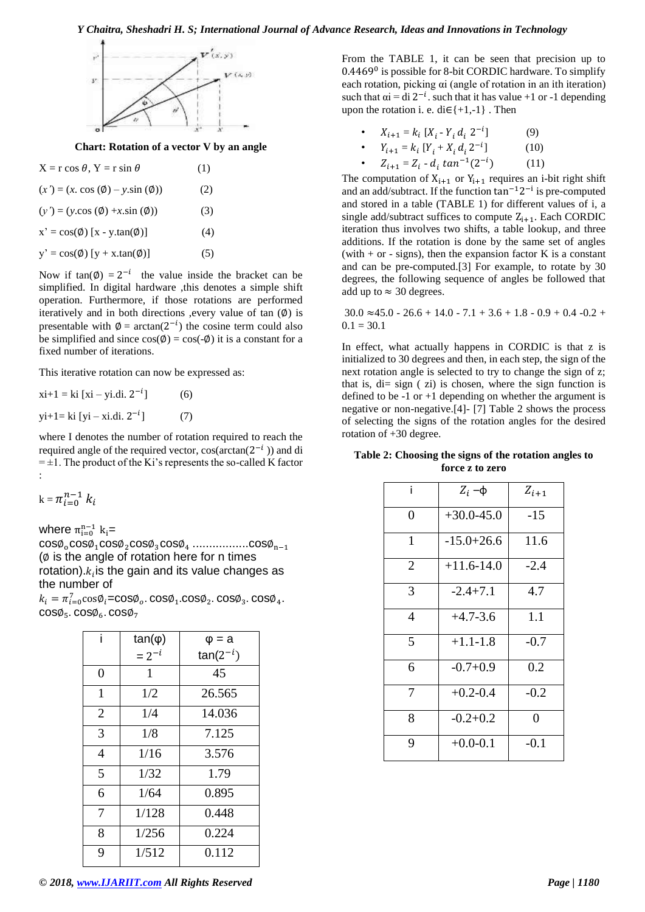

**Chart: Rotation of a vector V by an angle**

| $X = r \cos \theta$ , $Y = r \sin \theta$                    | (1) |
|--------------------------------------------------------------|-----|
| $(x') = (x \cos(\emptyset) - y \sin(\emptyset))$             | (2) |
| $(y') = (y \cdot \cos(\emptyset) + x \cdot \sin(\emptyset))$ | (3) |
| $x' = cos(\phi) [x - y.tan(\phi)]$                           | (4) |
| $y' = cos(\phi) [y + x.tan(\phi)]$                           | (5) |

Now if  $tan(\phi) = 2^{-i}$  the value inside the bracket can be simplified. In digital hardware ,this denotes a simple shift operation. Furthermore, if those rotations are performed iteratively and in both directions , every value of tan  $(\emptyset)$  is presentable with  $\phi = \arctan(2^{-i})$  the cosine term could also be simplified and since  $cos(\phi) = cos(-\phi)$  it is a constant for a fixed number of iterations.

This iterative rotation can now be expressed as:

$$
xi + 1 = ki [xi - yi.di. 2^{-i}]
$$
 (6)  
 
$$
yi + 1 = ki [yi - xi.di. 2^{-i}]
$$
 (7)

where I denotes the number of rotation required to reach the required angle of the required vector,  $cos(arctan(2^{-i}))$  and di  $= \pm 1$ . The product of the Ki's represents the so-called K factor :

 $k = \pi_{i=0}^{n-1} k_i$ 

where  $\pi_{i=0}^{n-1}$   $k_i$ =

 $\cos\!\phi_{\scriptscriptstyle 0} \cos\!\phi_{\scriptscriptstyle 1} \cos\!\phi_{\scriptscriptstyle 2} \cos\!\phi_{\scriptscriptstyle 3} \cos\!\phi_{\scriptscriptstyle 4} \dots \cos\!\phi_{\scriptscriptstyle n-1}$  $(\emptyset)$  is the angle of rotation here for n times rotation). $k_i$  is the gain and its value changes as the number of

 $k_i = \pi_{i=0}^7 \cos \phi_i = \cos \phi_o \cdot \cos \phi_1 \cdot \cos \phi_2 \cdot \cos \phi_3 \cdot \cos \phi_4$ .  $cos\phi_5$ .  $cos\phi_6$ .  $cos\phi_7$ 

| i              | $tan(\varphi)$ | $\varphi = a$ |
|----------------|----------------|---------------|
|                | $= 2^{-i}$     | $tan(2^{-i})$ |
| $\theta$       | 1              | 45            |
| 1              | 1/2            | 26.565        |
| $\overline{2}$ | 1/4            | 14.036        |
| 3              | 1/8            | 7.125         |
| $\overline{4}$ | 1/16           | 3.576         |
| 5              | 1/32           | 1.79          |
| 6              | 1/64           | 0.895         |
| 7              | 1/128          | 0.448         |
| 8              | 1/256          | 0.224         |
| 9              | 1/512          | 0.112         |

From the TABLE 1, it can be seen that precision up to 0.4469<sup>0</sup> is possible for 8-bit CORDIC hardware. To simplify each rotation, picking αi (angle of rotation in an ith iteration) such that  $\alpha i = \text{di } 2^{-i}$ . such that it has value +1 or -1 depending upon the rotation i. e. di $\in \{+1,-1\}$ . Then

|  | • $X_{i+1} = k_i [X_i - Y_i d_i 2^{-i}]$ |  |  |  |  | (9) |
|--|------------------------------------------|--|--|--|--|-----|
|--|------------------------------------------|--|--|--|--|-----|

• 
$$
Y_{i+1} = k_i [Y_i + X_i d_i 2^{-i}]
$$
 (10)

•  $Z_{i+1} = Z_i - d_i \tan^{-1}(2^{-i})$ ) (11)

The computation of  $X_{i+1}$  or  $Y_{i+1}$  requires an *i*-bit right shift and an add/subtract. If the function  $tan^{-1}2^{-i}$  is pre-computed and stored in a table (TABLE 1) for different values of i, a single add/subtract suffices to compute  $Z_{i+1}$ . Each CORDIC iteration thus involves two shifts, a table lookup, and three additions. If the rotation is done by the same set of angles (with  $+$  or - signs), then the expansion factor K is a constant and can be pre-computed.[3] For example, to rotate by 30 degrees, the following sequence of angles be followed that add up to  $\approx$  30 degrees.

$$
30.0 \approx 45.0 - 26.6 + 14.0 - 7.1 + 3.6 + 1.8 - 0.9 + 0.4 - 0.2 + 0.1 = 30.1
$$

In effect, what actually happens in CORDIC is that z is initialized to 30 degrees and then, in each step, the sign of the next rotation angle is selected to try to change the sign of z; that is, di= sign ( zi) is chosen, where the sign function is defined to be  $-1$  or  $+1$  depending on whether the argument is negative or non-negative.[4]- [7] Table 2 shows the process of selecting the signs of the rotation angles for the desired rotation of +30 degree.

**Table 2: Choosing the signs of the rotation angles to force z to zero**

| i            | $Z_i$ –φ       | $Z_{i+1}$      |
|--------------|----------------|----------------|
| 0            | $+30.0 - 45.0$ | $-15$          |
| $\mathbf{1}$ | $-15.0 + 26.6$ | 11.6           |
| 2            | $+11.6-14.0$   | $-2.4$         |
| 3            | $-2.4+7.1$     | 4.7            |
| 4            | $+4.7 - 3.6$   | 1.1            |
| 5            | $+1.1 - 1.8$   | $-0.7$         |
| 6            | $-0.7+0.9$     | 0.2            |
| 7            | $+0.2 - 0.4$   | $-0.2$         |
| 8            | $-0.2+0.2$     | $\overline{0}$ |
| 9            | $+0.0 - 0.1$   | $-0.1$         |